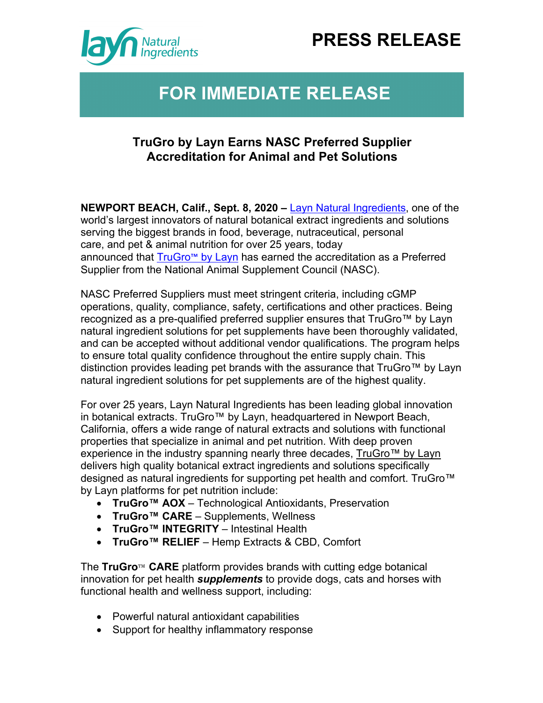## **PRESS RELEASE**



## **FOR IMMEDIATE RELEASE**

## **TruGro by Layn Earns NASC Preferred Supplier Accreditation for Animal and Pet Solutions**

**NEWPORT BEACH, Calif., Sept. 8, 2020 –** Layn Natural Ingredients, one of the world's largest innovators of natural botanical extract ingredients and solutions serving the biggest brands in food, beverage, nutraceutical, personal care, and pet & animal nutrition for over 25 years, today announced that TruGro™ by Layn has earned the accreditation as a Preferred Supplier from the National Animal Supplement Council (NASC).

NASC Preferred Suppliers must meet stringent criteria, including cGMP operations, quality, compliance, safety, certifications and other practices. Being recognized as a pre-qualified preferred supplier ensures that TruGro™ by Layn natural ingredient solutions for pet supplements have been thoroughly validated, and can be accepted without additional vendor qualifications. The program helps to ensure total quality confidence throughout the entire supply chain. This distinction provides leading pet brands with the assurance that TruGro™ by Layn natural ingredient solutions for pet supplements are of the highest quality.

For over 25 years, Layn Natural Ingredients has been leading global innovation in botanical extracts. TruGro™ by Layn, headquartered in Newport Beach, California, offers a wide range of natural extracts and solutions with functional properties that specialize in animal and pet nutrition. With deep proven experience in the industry spanning nearly three decades, TruGro™ by Layn delivers high quality botanical extract ingredients and solutions specifically designed as natural ingredients for supporting pet health and comfort. TruGro<sup>™</sup> by Layn platforms for pet nutrition include:

- **TruGro™ AOX** Technological Antioxidants, Preservation
- **TruGro™ CARE** Supplements, Wellness
- **TruGro™ INTEGRITY** Intestinal Health
- **TruGro™ RELIEF** Hemp Extracts & CBD, Comfort

The **TruGro**™ **CARE** platform provides brands with cutting edge botanical innovation for pet health *supplements* to provide dogs, cats and horses with functional health and wellness support, including:

- Powerful natural antioxidant capabilities
- Support for healthy inflammatory response